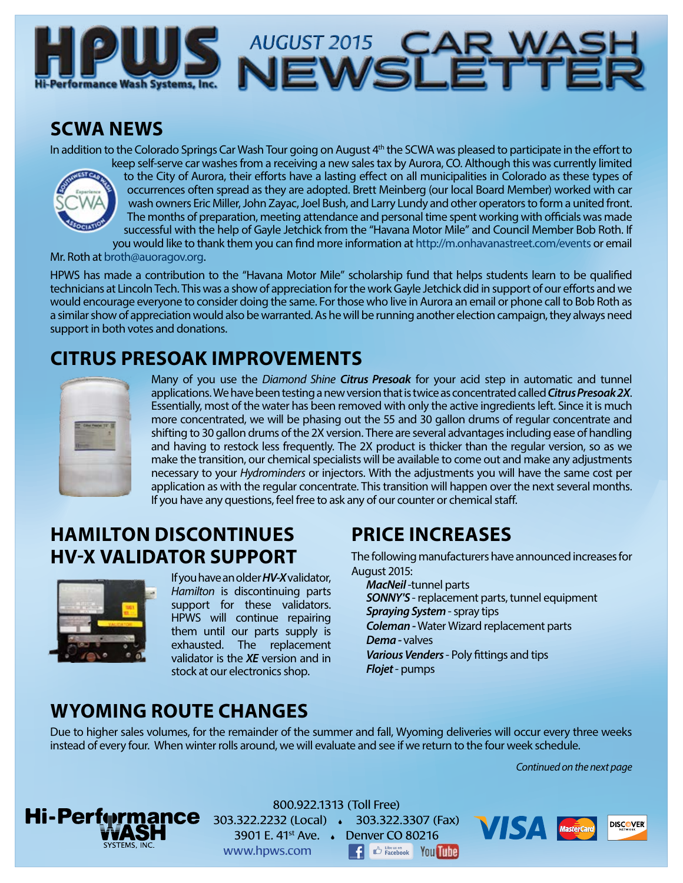

## **SCWA NEWS**

In addition to the Colorado Springs Car Wash Tour going on August 4<sup>th</sup> the SCWA was pleased to participate in the effort to keep self-serve car washes from a receiving a new sales tax by Aurora, CO. Although this was currently limited



to the City of Aurora, their efforts have a lasting effect on all municipalities in Colorado as these types of occurrences often spread as they are adopted. Brett Meinberg (our local Board Member) worked with car wash owners Eric Miller, John Zayac, Joel Bush, and Larry Lundy and other operators to form a united front. The months of preparation, meeting attendance and personal time spent working with officials was made successful with the help of Gayle Jetchick from the "Havana Motor Mile" and Council Member Bob Roth. If you would like to thank them you can find more information at <http://m.onhavanastreet.com/events>or email

Mr. Roth at [broth@auoragov.org](mailto:broth@auoragov.org).

HPWS has made a contribution to the "Havana Motor Mile" scholarship fund that helps students learn to be qualified technicians at Lincoln Tech. This was a show of appreciation for the work Gayle Jetchick did in support of our efforts and we would encourage everyone to consider doing the same. For those who live in Aurora an email or phone call to Bob Roth as a similar show of appreciation would also be warranted. As he will be running another election campaign, they always need support in both votes and donations.

# **CITRUS PRESOAK IMPROVEMENTS**



Many of you use the *Diamond Shine Citrus Presoak* for your acid step in automatic and tunnel applications. We have been testing a new version that is twice as concentrated called *Citrus Presoak 2X*. Essentially, most of the water has been removed with only the active ingredients left. Since it is much more concentrated, we will be phasing out the 55 and 30 gallon drums of regular concentrate and shifting to 30 gallon drums of the 2X version. There are several advantages including ease of handling and having to restock less frequently. The 2X product is thicker than the regular version, so as we make the transition, our chemical specialists will be available to come out and make any adjustments necessary to your *Hydrominders* or injectors. With the adjustments you will have the same cost per application as with the regular concentrate. This transition will happen over the next several months. If you have any questions, feel free to ask any of our counter or chemical staff.

## **HAMILTON DISCONTINUES HV-X VALIDATOR SUPPORT**



If you have an older *HV-X* validator, *Hamilton* is discontinuing parts support for these validators. HPWS will continue repairing them until our parts supply is exhausted. The replacement validator is the *XE* version and in stock at our electronics shop.

## **PRICE INCREASES**

The following manufacturers have announced increases for August 2015:

*MacNeil* -tunnel parts *SONNY'S* - replacement parts, tunnel equipment *Spraying System* - spray tips *Coleman -* Water Wizard replacement parts *Dema -* valves *Various Venders* - Poly fittings and tips *Flojet* - pumps

## **WYOMING ROUTE CHANGES**

Due to higher sales volumes, for the remainder of the summer and fall, Wyoming deliveries will occur every three weeks instead of every four. When winter rolls around, we will evaluate and see if we return to the four week schedule.

*Continued on the next page*



800.922.1313 (Toll Free) 303.322.2232 (Local) 303.322.3307 (Fax) 3901 E. 41st Ave. Denver CO 80216 www.hpws.com **E** C Facebook You Tune